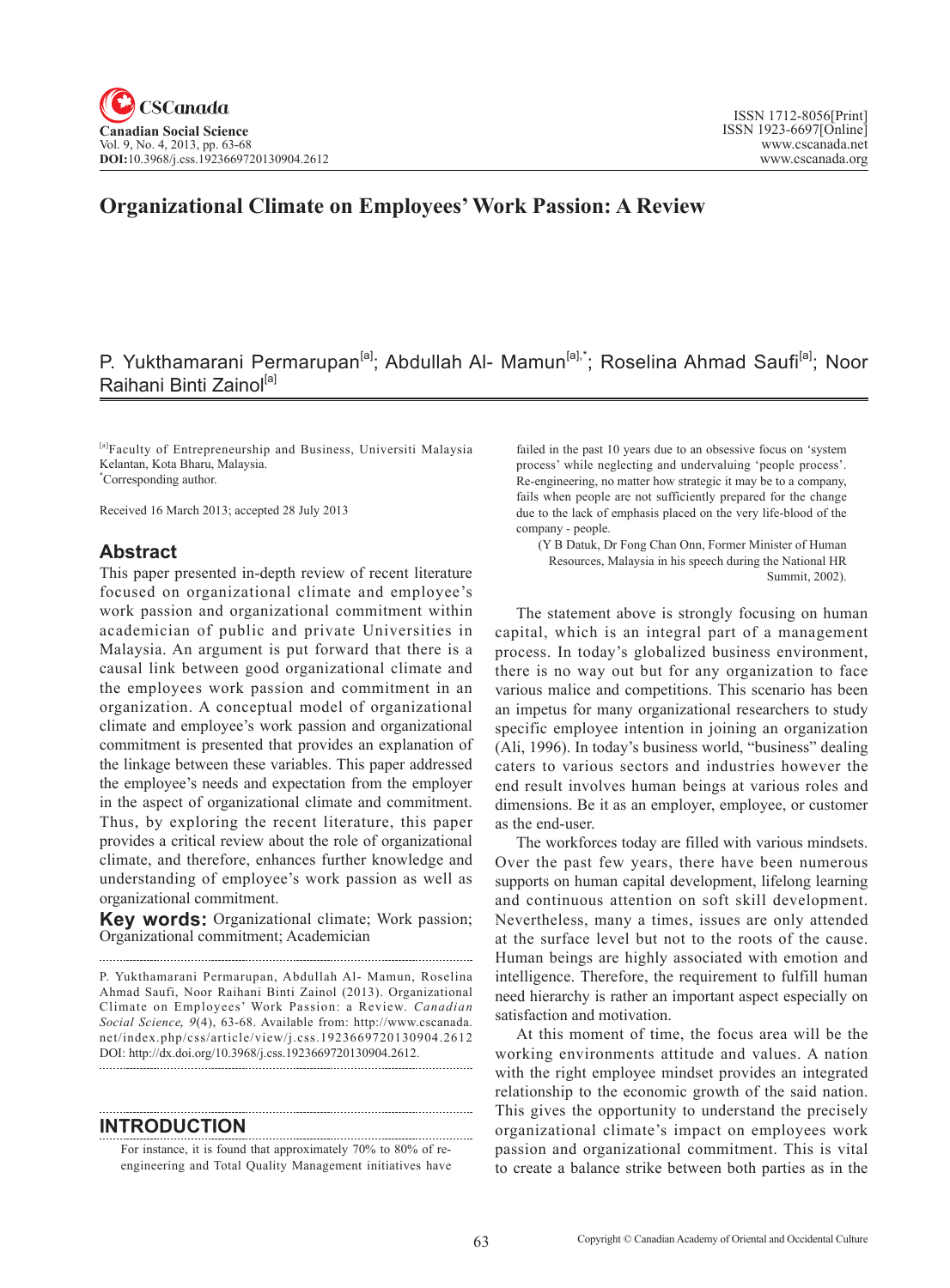# **Organizational Climate on Employees' Work Passion: A Review**

# P. Yukthamarani Permarupan<sup>[a]</sup>; Abdullah Al- Mamun<sup>[a],\*</sup>; Roselina Ahmad Saufi<sup>[a]</sup>; Noor Raihani Binti Zainol<sup>[a]</sup>

[a]Faculty of Entrepreneurship and Business, Universiti Malaysia Kelantan, Kota Bharu, Malaysia. \* Corresponding author.

Received 16 March 2013; accepted 28 July 2013

#### **Abstract**

This paper presented in-depth review of recent literature focused on organizational climate and employee's work passion and organizational commitment within academician of public and private Universities in Malaysia. An argument is put forward that there is a causal link between good organizational climate and the employees work passion and commitment in an organization. A conceptual model of organizational climate and employee's work passion and organizational commitment is presented that provides an explanation of the linkage between these variables. This paper addressed the employee's needs and expectation from the employer in the aspect of organizational climate and commitment. Thus, by exploring the recent literature, this paper provides a critical review about the role of organizational climate, and therefore, enhances further knowledge and understanding of employee's work passion as well as organizational commitment.

**Key words:** Organizational climate; Work passion; Organizational commitment; Academician

P. Yukthamarani Permarupan, Abdullah Al- Mamun, Roselina Ahmad Saufi, Noor Raihani Binti Zainol (2013). Organizational Climate on Employees' Work Passion: a Review. *Canadian Social Science*, 9(4), 63-68. Available from: http://www.cscanada. net/index.php/css/article/view/j.css.1923669720130904.2612 DOI: http://dx.doi.org/10.3968/j.css.1923669720130904.2612.

#### **INTRODUCTION**

For instance, it is found that approximately 70% to 80% of reengineering and Total Quality Management initiatives have failed in the past 10 years due to an obsessive focus on 'system process' while neglecting and undervaluing 'people process'. Re-engineering, no matter how strategic it may be to a company, fails when people are not sufficiently prepared for the change due to the lack of emphasis placed on the very life-blood of the company - people.

(Y B Datuk, Dr Fong Chan Onn, Former Minister of Human Resources, Malaysia in his speech during the National HR Summit, 2002).

The statement above is strongly focusing on human capital, which is an integral part of a management process. In today's globalized business environment, there is no way out but for any organization to face various malice and competitions. This scenario has been an impetus for many organizational researchers to study specific employee intention in joining an organization (Ali, 1996). In today's business world, "business" dealing caters to various sectors and industries however the end result involves human beings at various roles and dimensions. Be it as an employer, employee, or customer as the end-user.

The workforces today are filled with various mindsets. Over the past few years, there have been numerous supports on human capital development, lifelong learning and continuous attention on soft skill development. Nevertheless, many a times, issues are only attended at the surface level but not to the roots of the cause. Human beings are highly associated with emotion and intelligence. Therefore, the requirement to fulfill human need hierarchy is rather an important aspect especially on satisfaction and motivation.

At this moment of time, the focus area will be the working environments attitude and values. A nation with the right employee mindset provides an integrated relationship to the economic growth of the said nation. This gives the opportunity to understand the precisely organizational climate's impact on employees work passion and organizational commitment. This is vital to create a balance strike between both parties as in the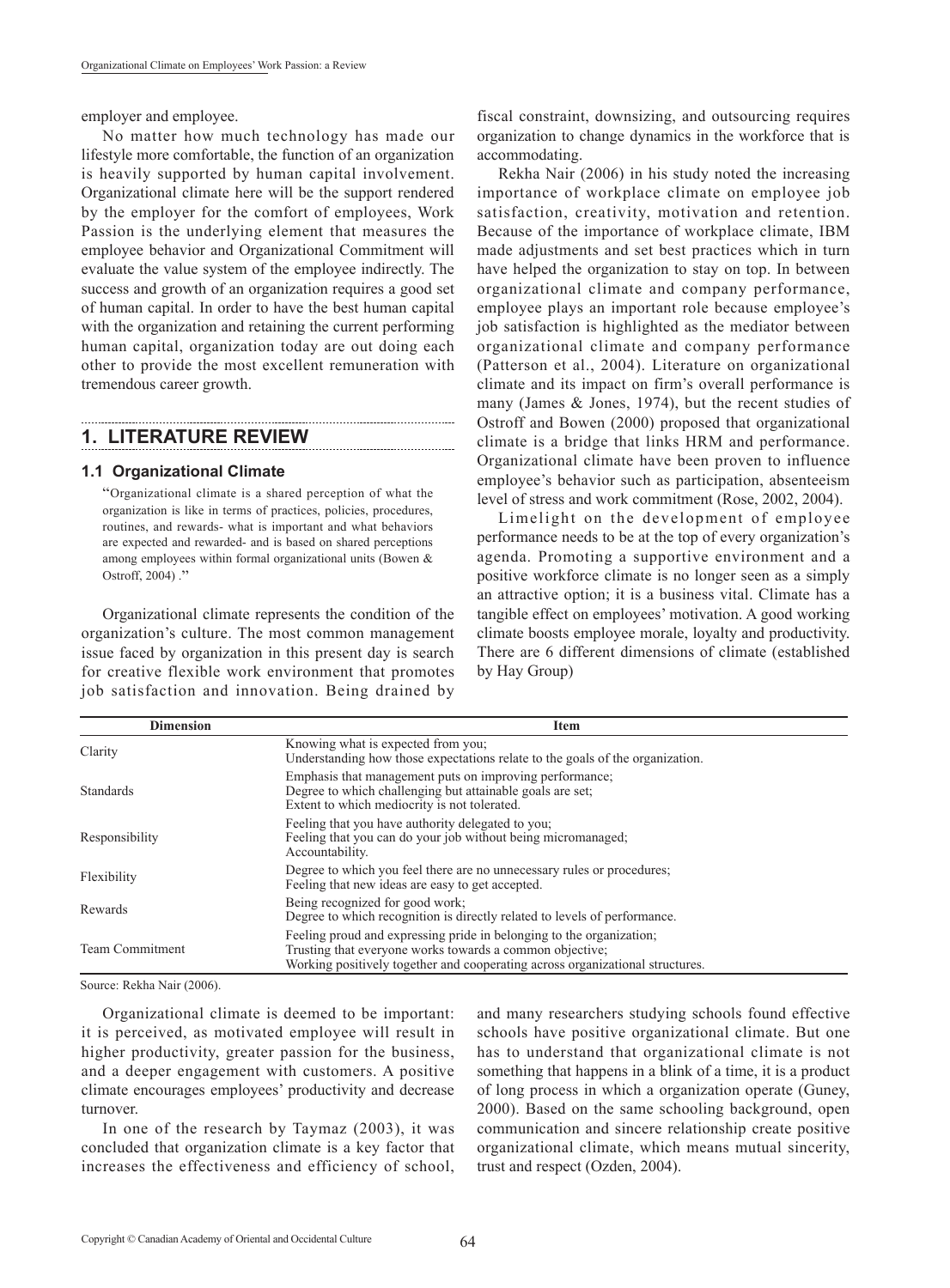employer and employee.

No matter how much technology has made our lifestyle more comfortable, the function of an organization is heavily supported by human capital involvement. Organizational climate here will be the support rendered by the employer for the comfort of employees, Work Passion is the underlying element that measures the employee behavior and Organizational Commitment will evaluate the value system of the employee indirectly. The success and growth of an organization requires a good set of human capital. In order to have the best human capital with the organization and retaining the current performing human capital, organization today are out doing each other to provide the most excellent remuneration with tremendous career growth.

## **1. LITERATURE REVIEW**

#### **1.1 Organizational Climate**

"Organizational climate is a shared perception of what the organization is like in terms of practices, policies, procedures, routines, and rewards- what is important and what behaviors are expected and rewarded- and is based on shared perceptions among employees within formal organizational units (Bowen & Ostroff, 2004) ."

Organizational climate represents the condition of the organization's culture. The most common management issue faced by organization in this present day is search for creative flexible work environment that promotes job satisfaction and innovation. Being drained by

fiscal constraint, downsizing, and outsourcing requires organization to change dynamics in the workforce that is accommodating.

Rekha Nair (2006) in his study noted the increasing importance of workplace climate on employee job satisfaction, creativity, motivation and retention. Because of the importance of workplace climate, IBM made adjustments and set best practices which in turn have helped the organization to stay on top. In between organizational climate and company performance, employee plays an important role because employee's job satisfaction is highlighted as the mediator between organizational climate and company performance (Patterson et al., 2004). Literature on organizational climate and its impact on firm's overall performance is many (James & Jones, 1974), but the recent studies of Ostroff and Bowen (2000) proposed that organizational climate is a bridge that links HRM and performance. Organizational climate have been proven to influence employee's behavior such as participation, absenteeism level of stress and work commitment (Rose, 2002, 2004).

Limelight on the development of employee performance needs to be at the top of every organization's agenda. Promoting a supportive environment and a positive workforce climate is no longer seen as a simply an attractive option; it is a business vital. Climate has a tangible effect on employees' motivation. A good working climate boosts employee morale, loyalty and productivity. There are 6 different dimensions of climate (established by Hay Group)

| <b>Dimension</b>       | <b>Item</b>                                                                                                                                                                                                       |  |
|------------------------|-------------------------------------------------------------------------------------------------------------------------------------------------------------------------------------------------------------------|--|
| Clarity                | Knowing what is expected from you;<br>Understanding how those expectations relate to the goals of the organization.                                                                                               |  |
| <b>Standards</b>       | Emphasis that management puts on improving performance;<br>Degree to which challenging but attainable goals are set;<br>Extent to which mediocrity is not tolerated.                                              |  |
| Responsibility         | Feeling that you have authority delegated to you.<br>Feeling that you can do your job without being micromanaged.<br>Accountability.                                                                              |  |
| Flexibility            | Degree to which you feel there are no unnecessary rules or procedures;<br>Feeling that new ideas are easy to get accepted.                                                                                        |  |
| Rewards                | Being recognized for good work;<br>Degree to which recognition is directly related to levels of performance.                                                                                                      |  |
| <b>Team Commitment</b> | Feeling proud and expressing pride in belonging to the organization;<br>Trusting that everyone works towards a common objective;<br>Working positively together and cooperating across organizational structures. |  |

Source: Rekha Nair (2006).

Organizational climate is deemed to be important: it is perceived, as motivated employee will result in higher productivity, greater passion for the business, and a deeper engagement with customers. A positive climate encourages employees' productivity and decrease turnover.

In one of the research by Taymaz (2003), it was concluded that organization climate is a key factor that increases the effectiveness and efficiency of school, and many researchers studying schools found effective schools have positive organizational climate. But one has to understand that organizational climate is not something that happens in a blink of a time, it is a product of long process in which a organization operate (Guney, 2000). Based on the same schooling background, open communication and sincere relationship create positive organizational climate, which means mutual sincerity, trust and respect (Ozden, 2004).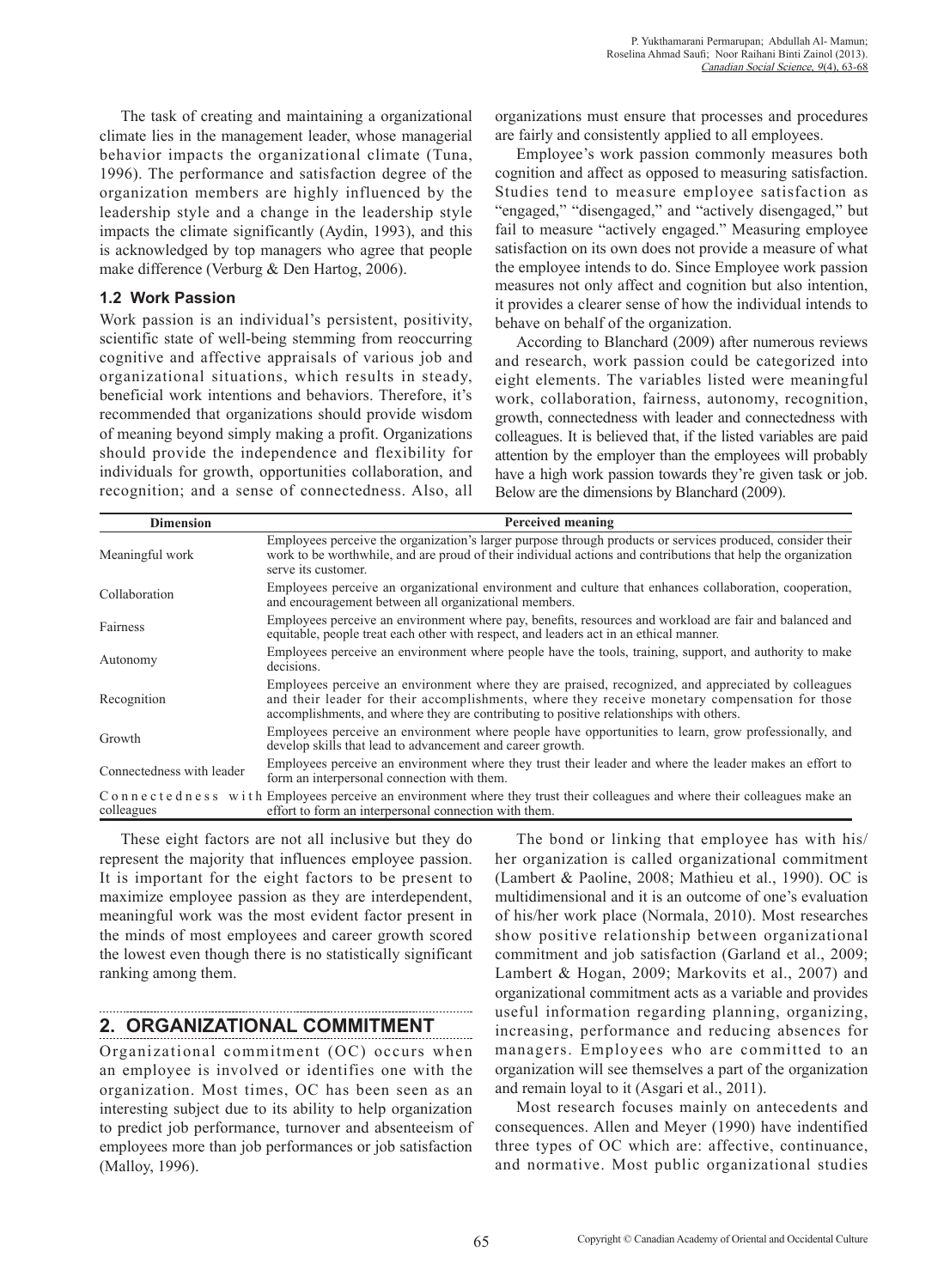The task of creating and maintaining a organizational climate lies in the management leader, whose managerial behavior impacts the organizational climate (Tuna, 1996). The performance and satisfaction degree of the organization members are highly influenced by the leadership style and a change in the leadership style impacts the climate significantly (Aydin, 1993), and this is acknowledged by top managers who agree that people make difference (Verburg & Den Hartog, 2006).

#### **1.2 Work Passion**

Work passion is an individual's persistent, positivity, scientific state of well-being stemming from reoccurring cognitive and affective appraisals of various job and organizational situations, which results in steady, beneficial work intentions and behaviors. Therefore, it's recommended that organizations should provide wisdom of meaning beyond simply making a profit. Organizations should provide the independence and flexibility for individuals for growth, opportunities collaboration, and recognition; and a sense of connectedness. Also, all organizations must ensure that processes and procedures are fairly and consistently applied to all employees.

Employee's work passion commonly measures both cognition and affect as opposed to measuring satisfaction. Studies tend to measure employee satisfaction as "engaged," "disengaged," and "actively disengaged," but fail to measure "actively engaged." Measuring employee satisfaction on its own does not provide a measure of what the employee intends to do. Since Employee work passion measures not only affect and cognition but also intention, it provides a clearer sense of how the individual intends to behave on behalf of the organization.

According to Blanchard (2009) after numerous reviews and research, work passion could be categorized into eight elements. The variables listed were meaningful work, collaboration, fairness, autonomy, recognition, growth, connectedness with leader and connectedness with colleagues. It is believed that, if the listed variables are paid attention by the employer than the employees will probably have a high work passion towards they're given task or job. Below are the dimensions by Blanchard (2009).

| <b>Dimension</b>          | Perceived meaning                                                                                                                                                                                                                                                                                |
|---------------------------|--------------------------------------------------------------------------------------------------------------------------------------------------------------------------------------------------------------------------------------------------------------------------------------------------|
| Meaningful work           | Employees perceive the organization's larger purpose through products or services produced, consider their<br>work to be worthwhile, and are proud of their individual actions and contributions that help the organization<br>serve its customer.                                               |
| Collaboration             | Employees perceive an organizational environment and culture that enhances collaboration, cooperation,<br>and encouragement between all organizational members.                                                                                                                                  |
| Fairness                  | Employees perceive an environment where pay, benefits, resources and workload are fair and balanced and<br>equitable, people treat each other with respect, and leaders act in an ethical manner.                                                                                                |
| Autonomy                  | Employees perceive an environment where people have the tools, training, support, and authority to make<br>decisions.                                                                                                                                                                            |
| Recognition               | Employees perceive an environment where they are praised, recognized, and appreciated by colleagues<br>and their leader for their accomplishments, where they receive monetary compensation for those<br>accomplishments, and where they are contributing to positive relationships with others. |
| Growth                    | Employees perceive an environment where people have opportunities to learn, grow professionally, and<br>develop skills that lead to advancement and career growth.                                                                                                                               |
| Connectedness with leader | Employees perceive an environment where they trust their leader and where the leader makes an effort to<br>form an interpersonal connection with them.                                                                                                                                           |
| colleagues                | C o n n e c t e d n e s s w i t h Employees perceive an environment where they trust their colleagues and where their colleagues make an<br>effort to form an interpersonal connection with them.                                                                                                |

These eight factors are not all inclusive but they do represent the majority that influences employee passion. It is important for the eight factors to be present to maximize employee passion as they are interdependent, meaningful work was the most evident factor present in the minds of most employees and career growth scored the lowest even though there is no statistically significant ranking among them.

## **2. ORGANIZATIONAL COMMITMENT**

Organizational commitment (OC) occurs when an employee is involved or identifies one with the organization. Most times, OC has been seen as an interesting subject due to its ability to help organization to predict job performance, turnover and absenteeism of employees more than job performances or job satisfaction (Malloy, 1996).

The bond or linking that employee has with his/ her organization is called organizational commitment (Lambert & Paoline, 2008; Mathieu et al., 1990). OC is multidimensional and it is an outcome of one's evaluation of his/her work place (Normala, 2010). Most researches show positive relationship between organizational commitment and job satisfaction (Garland et al., 2009; Lambert & Hogan, 2009; Markovits et al., 2007) and organizational commitment acts as a variable and provides useful information regarding planning, organizing, increasing, performance and reducing absences for managers. Employees who are committed to an organization will see themselves a part of the organization and remain loyal to it (Asgari et al., 2011).

Most research focuses mainly on antecedents and consequences. Allen and Meyer (1990) have indentified three types of OC which are: affective, continuance, and normative. Most public organizational studies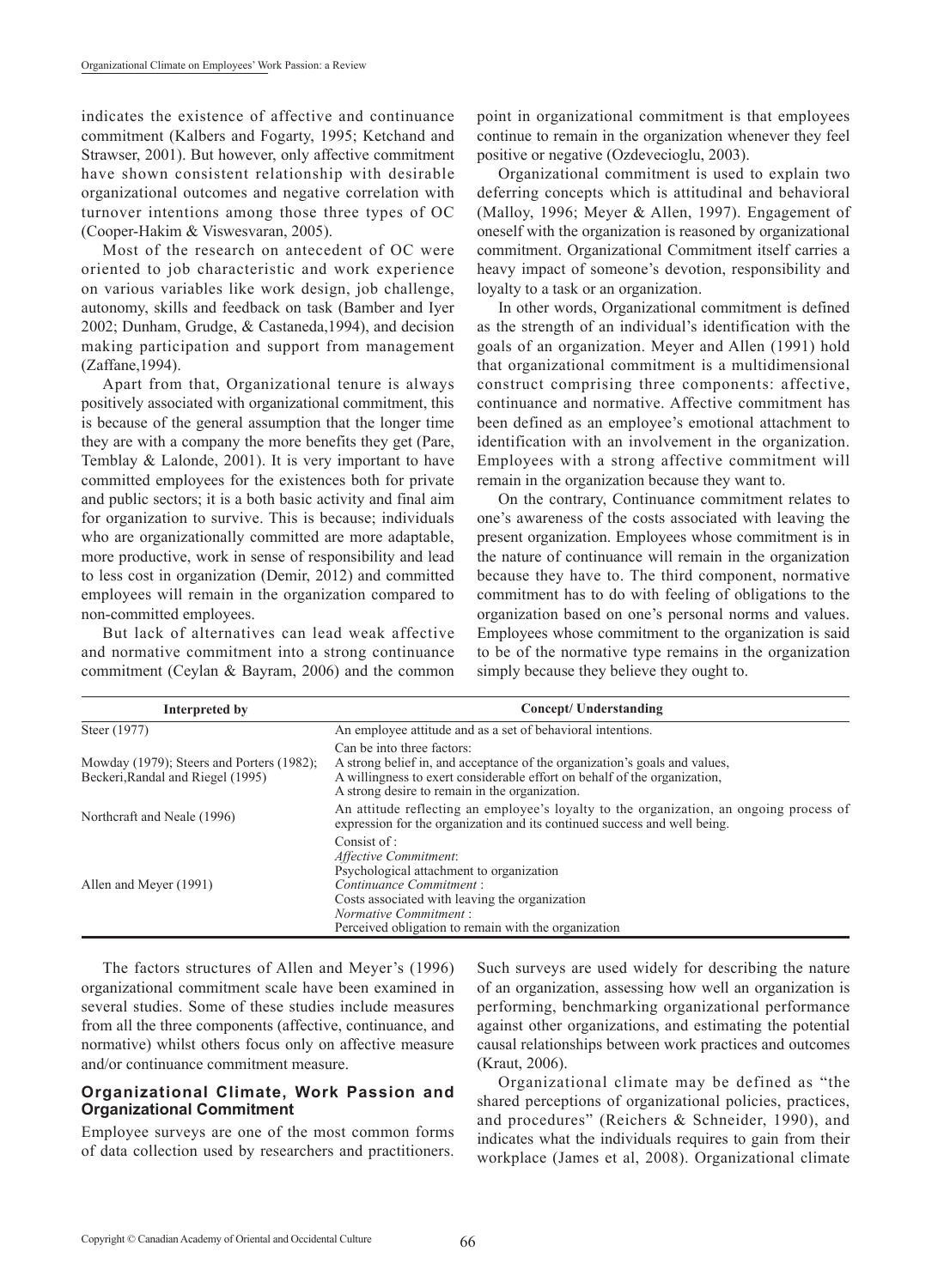indicates the existence of affective and continuance commitment (Kalbers and Fogarty, 1995; Ketchand and Strawser, 2001). But however, only affective commitment have shown consistent relationship with desirable organizational outcomes and negative correlation with turnover intentions among those three types of OC (Cooper-Hakim & Viswesvaran, 2005).

Most of the research on antecedent of OC were oriented to job characteristic and work experience on various variables like work design, job challenge, autonomy, skills and feedback on task (Bamber and Iyer 2002; Dunham, Grudge, & Castaneda,1994), and decision making participation and support from management (Zaffane,1994).

Apart from that, Organizational tenure is always positively associated with organizational commitment, this is because of the general assumption that the longer time they are with a company the more benefits they get (Pare, Temblay & Lalonde, 2001). It is very important to have committed employees for the existences both for private and public sectors; it is a both basic activity and final aim for organization to survive. This is because; individuals who are organizationally committed are more adaptable, more productive, work in sense of responsibility and lead to less cost in organization (Demir, 2012) and committed employees will remain in the organization compared to non-committed employees.

But lack of alternatives can lead weak affective and normative commitment into a strong continuance commitment (Ceylan & Bayram, 2006) and the common point in organizational commitment is that employees continue to remain in the organization whenever they feel positive or negative (Ozdevecioglu, 2003).

Organizational commitment is used to explain two deferring concepts which is attitudinal and behavioral (Malloy, 1996; Meyer & Allen, 1997). Engagement of oneself with the organization is reasoned by organizational commitment. Organizational Commitment itself carries a heavy impact of someone's devotion, responsibility and loyalty to a task or an organization.

In other words, Organizational commitment is defined as the strength of an individual's identification with the goals of an organization. Meyer and Allen (1991) hold that organizational commitment is a multidimensional construct comprising three components: affective, continuance and normative. Affective commitment has been defined as an employee's emotional attachment to identification with an involvement in the organization. Employees with a strong affective commitment will remain in the organization because they want to.

On the contrary, Continuance commitment relates to one's awareness of the costs associated with leaving the present organization. Employees whose commitment is in the nature of continuance will remain in the organization because they have to. The third component, normative commitment has to do with feeling of obligations to the organization based on one's personal norms and values. Employees whose commitment to the organization is said to be of the normative type remains in the organization simply because they believe they ought to.

| Interpreted by                                                                 | <b>Concept/ Understanding</b>                                                                                                                                                                                                                          |
|--------------------------------------------------------------------------------|--------------------------------------------------------------------------------------------------------------------------------------------------------------------------------------------------------------------------------------------------------|
| Steer (1977)                                                                   | An employee attitude and as a set of behavioral intentions.                                                                                                                                                                                            |
| Mowday (1979); Steers and Porters (1982);<br>Beckeri, Randal and Riegel (1995) | Can be into three factors:<br>A strong belief in, and acceptance of the organization's goals and values,<br>A willingness to exert considerable effort on behalf of the organization,<br>A strong desire to remain in the organization.                |
| Northcraft and Neale (1996)                                                    | An attitude reflecting an employee's loyalty to the organization, an ongoing process of<br>expression for the organization and its continued success and well being.                                                                                   |
| Allen and Meyer (1991)                                                         | Consist of :<br>Affective Commitment:<br>Psychological attachment to organization<br>Continuance Commitment:<br>Costs associated with leaving the organization<br><i>Normative Commitment:</i><br>Perceived obligation to remain with the organization |

The factors structures of Allen and Meyer's (1996) organizational commitment scale have been examined in several studies. Some of these studies include measures from all the three components (affective, continuance, and normative) whilst others focus only on affective measure and/or continuance commitment measure.

#### **Organizational Climate, Work Passion and Organizational Commitment**

Employee surveys are one of the most common forms of data collection used by researchers and practitioners.

Such surveys are used widely for describing the nature of an organization, assessing how well an organization is performing, benchmarking organizational performance against other organizations, and estimating the potential causal relationships between work practices and outcomes (Kraut, 2006).

Organizational climate may be defined as "the shared perceptions of organizational policies, practices, and procedures" (Reichers & Schneider, 1990), and indicates what the individuals requires to gain from their workplace (James et al, 2008). Organizational climate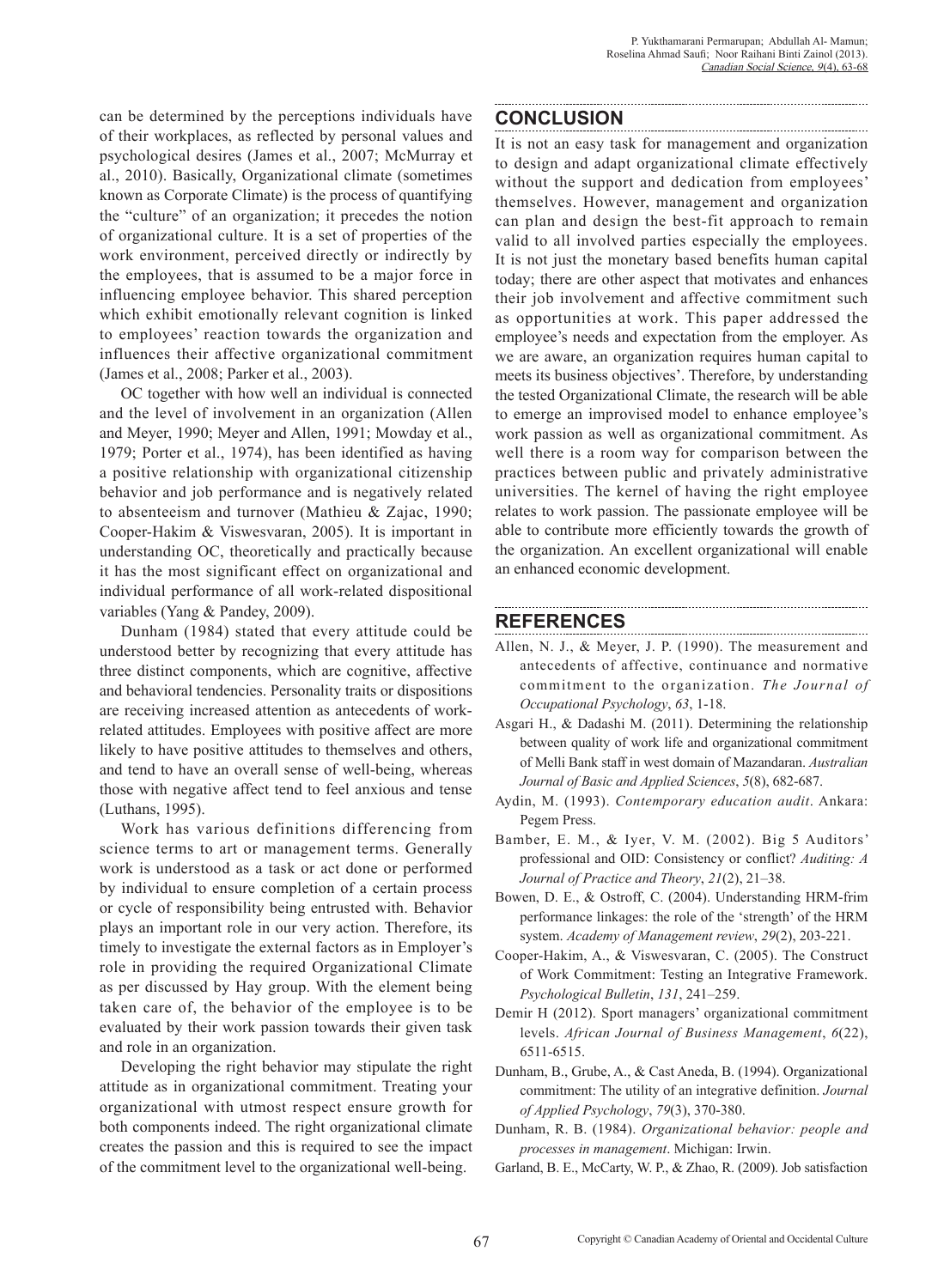can be determined by the perceptions individuals have of their workplaces, as reflected by personal values and psychological desires (James et al., 2007; McMurray et al., 2010). Basically, Organizational climate (sometimes known as Corporate Climate) is the process of quantifying the "culture" of an organization; it precedes the notion of organizational culture. It is a set of properties of the work environment, perceived directly or indirectly by the employees, that is assumed to be a major force in influencing employee behavior. This shared perception which exhibit emotionally relevant cognition is linked to employees' reaction towards the organization and influences their affective organizational commitment (James et al., 2008; Parker et al., 2003).

OC together with how well an individual is connected and the level of involvement in an organization (Allen and Meyer, 1990; Meyer and Allen, 1991; Mowday et al., 1979; Porter et al., 1974), has been identified as having a positive relationship with organizational citizenship behavior and job performance and is negatively related to absenteeism and turnover (Mathieu & Zajac, 1990; Cooper-Hakim & Viswesvaran, 2005). It is important in understanding OC, theoretically and practically because it has the most significant effect on organizational and individual performance of all work-related dispositional variables (Yang & Pandey, 2009).

Dunham (1984) stated that every attitude could be understood better by recognizing that every attitude has three distinct components, which are cognitive, affective and behavioral tendencies. Personality traits or dispositions are receiving increased attention as antecedents of workrelated attitudes. Employees with positive affect are more likely to have positive attitudes to themselves and others, and tend to have an overall sense of well-being, whereas those with negative affect tend to feel anxious and tense (Luthans, 1995).

Work has various definitions differencing from science terms to art or management terms. Generally work is understood as a task or act done or performed by individual to ensure completion of a certain process or cycle of responsibility being entrusted with. Behavior plays an important role in our very action. Therefore, its timely to investigate the external factors as in Employer's role in providing the required Organizational Climate as per discussed by Hay group. With the element being taken care of, the behavior of the employee is to be evaluated by their work passion towards their given task and role in an organization.

Developing the right behavior may stipulate the right attitude as in organizational commitment. Treating your organizational with utmost respect ensure growth for both components indeed. The right organizational climate creates the passion and this is required to see the impact of the commitment level to the organizational well-being.

#### **CONCLUSION**

It is not an easy task for management and organization to design and adapt organizational climate effectively without the support and dedication from employees' themselves. However, management and organization can plan and design the best-fit approach to remain valid to all involved parties especially the employees. It is not just the monetary based benefits human capital today; there are other aspect that motivates and enhances their job involvement and affective commitment such as opportunities at work. This paper addressed the employee's needs and expectation from the employer. As we are aware, an organization requires human capital to meets its business objectives'. Therefore, by understanding the tested Organizational Climate, the research will be able to emerge an improvised model to enhance employee's work passion as well as organizational commitment. As well there is a room way for comparison between the practices between public and privately administrative universities. The kernel of having the right employee relates to work passion. The passionate employee will be able to contribute more efficiently towards the growth of the organization. An excellent organizational will enable an enhanced economic development.

### **REFERENCES**

- Allen, N. J., & Meyer, J. P. (1990). The measurement and antecedents of affective, continuance and normative commitment to the organization. *The Journal of Occupational Psychology*, *63*, 1-18.
- Asgari H., & Dadashi M. (2011). Determining the relationship between quality of work life and organizational commitment of Melli Bank staff in west domain of Mazandaran. *Australian Journal of Basic and Applied Sciences*, *5*(8), 682-687.
- Aydin, M. (1993). *Contemporary education audit*. Ankara: Pegem Press.
- Bamber, E. M., & Iyer, V. M. (2002). Big 5 Auditors' professional and OID: Consistency or conflict? *Auditing: A Journal of Practice and Theory*, *21*(2), 21–38.
- Bowen, D. E., & Ostroff, C. (2004). Understanding HRM-frim performance linkages: the role of the 'strength' of the HRM system. *Academy of Management review*, *29*(2), 203-221.
- Cooper-Hakim, A., & Viswesvaran, C. (2005). The Construct of Work Commitment: Testing an Integrative Framework. *Psychological Bulletin*, *131*, 241–259.
- Demir H (2012). Sport managers' organizational commitment levels. *African Journal of Business Management*, *6*(22), 6511-6515.
- Dunham, B., Grube, A., & Cast Aneda, B. (1994). Organizational commitment: The utility of an integrative definition. *Journal of Applied Psychology*, *79*(3), 370-380.
- Dunham, R. B. (1984). *Organizational behavior: people and processes in management*. Michigan: Irwin.
- Garland, B. E., McCarty, W. P., & Zhao, R. (2009). Job satisfaction